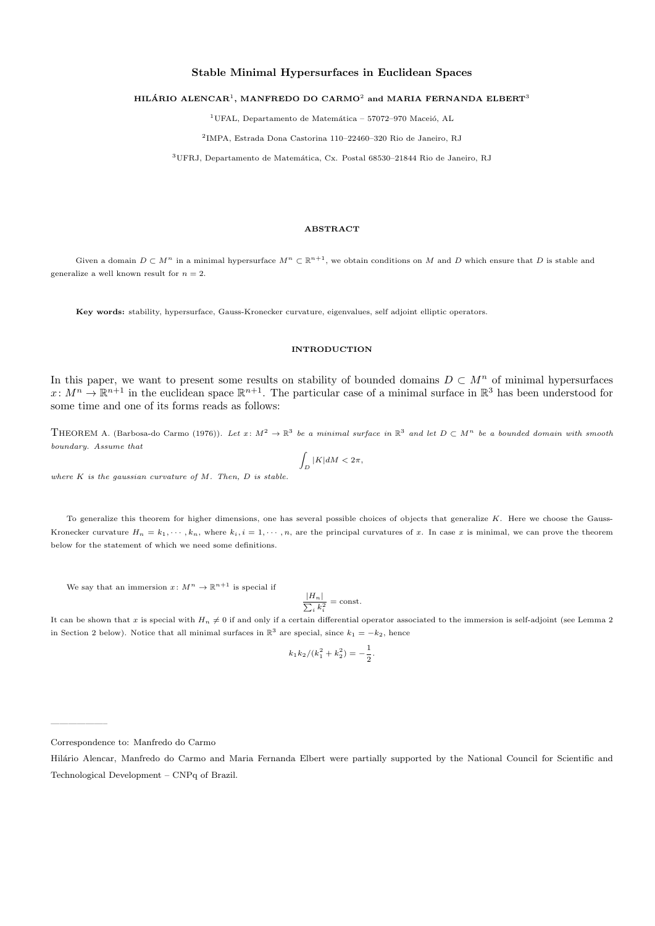# Stable Minimal Hypersurfaces in Euclidean Spaces

#### HILÁRIO ALENCAR<sup>1</sup>, MANFREDO DO CARMO<sup>2</sup> and MARIA FERNANDA ELBERT<sup>3</sup>

<sup>1</sup>UFAL, Departamento de Matemática – 57072–970 Maceió, AL

2 IMPA, Estrada Dona Castorina 110–22460–320 Rio de Janeiro, RJ

<sup>3</sup>UFRJ, Departamento de Matemática, Cx. Postal 68530-21844 Rio de Janeiro, RJ

### ABSTRACT

Given a domain  $D \subset M^n$  in a minimal hypersurface  $M^n \subset \mathbb{R}^{n+1}$ , we obtain conditions on M and D which ensure that D is stable and generalize a well known result for  $n = 2$ .

Key words: stability, hypersurface, Gauss-Kronecker curvature, eigenvalues, self adjoint elliptic operators.

## INTRODUCTION

In this paper, we want to present some results on stability of bounded domains  $D \subset M^n$  of minimal hypersurfaces  $x\colon M^n\to\mathbb{R}^{n+1}$  in the euclidean space  $\mathbb{R}^{n+1}$ . The particular case of a minimal surface in  $\mathbb{R}^3$  has been understood for some time and one of its forms reads as follows:

THEOREM A. (Barbosa-do Carmo (1976)). Let  $x \colon M^2 \to \mathbb{R}^3$  be a minimal surface in  $\mathbb{R}^3$  and let  $D \subset M^n$  be a bounded domain with smooth boundary. Assume that

$$
\int_D |K| dM < 2\pi,
$$

where  $K$  is the gaussian curvature of  $M$ . Then,  $D$  is stable.

To generalize this theorem for higher dimensions, one has several possible choices of objects that generalize  $K$ . Here we choose the Gauss-Kronecker curvature  $H_n = k_1, \dots, k_n$ , where  $k_i, i = 1, \dots, n$ , are the principal curvatures of x. In case x is minimal, we can prove the theorem below for the statement of which we need some definitions.

We say that an immersion  $x: M^n \to \mathbb{R}^{n+1}$  is special if

$$
\frac{|H_n|}{\sum_i k_i^2} = \text{const.}
$$

It can be shown that x is special with  $H_n \neq 0$  if and only if a certain differential operator associated to the immersion is self-adjoint (see Lemma 2) in Section 2 below). Notice that all minimal surfaces in  $\mathbb{R}^3$  are special, since  $k_1 = -k_2$ , hence

$$
k_1k_2/(k_1^2+k_2^2) = -\frac{1}{2}.
$$

——————–

Correspondence to: Manfredo do Carmo

Hilário Alencar, Manfredo do Carmo and Maria Fernanda Elbert were partially supported by the National Council for Scientific and Technological Development – CNPq of Brazil.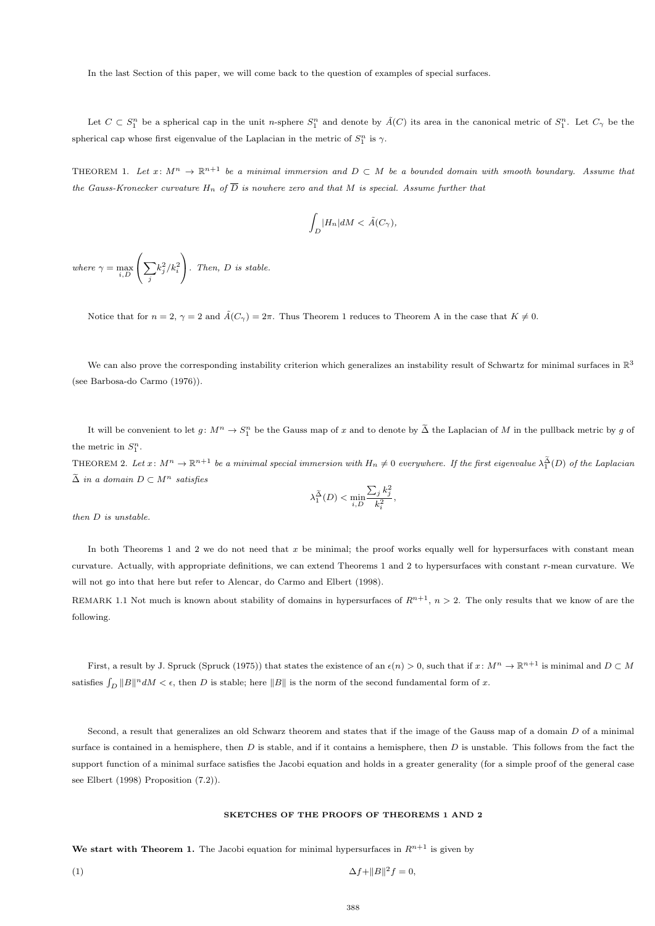In the last Section of this paper, we will come back to the question of examples of special surfaces.

Let  $C \subset S_1^n$  be a spherical cap in the unit n-sphere  $S_1^n$  and denote by  $\tilde{A}(C)$  its area in the canonical metric of  $S_1^n$ . Let  $C_\gamma$  be the spherical cap whose first eigenvalue of the Laplacian in the metric of  $S_1^n$  is  $\gamma$ .

THEOREM 1. Let  $x: M^n \to \mathbb{R}^{n+1}$  be a minimal immersion and  $D \subset M$  be a bounded domain with smooth boundary. Assume that the Gauss-Kronecker curvature  $H_n$  of  $\overline{D}$  is nowhere zero and that M is special. Assume further that

$$
\int_D |H_n| dM < \tilde{A}(C_\gamma),
$$

where  $\gamma = \max_{i,D}$  $\sqrt{ }$  $\left(\sum_{j}\right)$  $k_j^2/k_i^2$  $\setminus$  $\big\}$ . Then,  $D$  is stable.

Notice that for  $n = 2$ ,  $\gamma = 2$  and  $\tilde{A}(C_{\gamma}) = 2\pi$ . Thus Theorem 1 reduces to Theorem A in the case that  $K \neq 0$ .

We can also prove the corresponding instability criterion which generalizes an instability result of Schwartz for minimal surfaces in  $\mathbb{R}^3$ (see Barbosa-do Carmo (1976)).

It will be convenient to let  $g: M^n \to S_1^n$  be the Gauss map of x and to denote by  $\tilde{\Delta}$  the Laplacian of M in the pullback metric by g of the metric in  $S_1^n$ .

THEOREM 2. Let  $x \colon M^n \to \mathbb{R}^{n+1}$  be a minimal special immersion with  $H_n \neq 0$  everywhere. If the first eigenvalue  $\lambda_1^{\Delta}(D)$  of the Laplacian  $\tilde{\Delta}$  in a domain  $D \subset M^n$  satisfies

$$
\lambda_1^{\widetilde{\Delta}}(D) < \min_{i,D} \frac{\sum_j k_j^2}{k_i^2},
$$

then D is unstable.

In both Theorems 1 and 2 we do not need that  $x$  be minimal; the proof works equally well for hypersurfaces with constant mean curvature. Actually, with appropriate definitions, we can extend Theorems 1 and 2 to hypersurfaces with constant r-mean curvature. We will not go into that here but refer to Alencar, do Carmo and Elbert (1998).

REMARK 1.1 Not much is known about stability of domains in hypersurfaces of  $R^{n+1}$ ,  $n > 2$ . The only results that we know of are the following.

First, a result by J. Spruck (Spruck (1975)) that states the existence of an  $\epsilon(n) > 0$ , such that if  $x \colon M^n \to \mathbb{R}^{n+1}$  is minimal and  $D \subset M$ satisfies  $\int_D ||B||^n dM < \epsilon$ , then D is stable; here  $||B||$  is the norm of the second fundamental form of x.

Second, a result that generalizes an old Schwarz theorem and states that if the image of the Gauss map of a domain D of a minimal surface is contained in a hemisphere, then  $D$  is stable, and if it contains a hemisphere, then  $D$  is unstable. This follows from the fact the support function of a minimal surface satisfies the Jacobi equation and holds in a greater generality (for a simple proof of the general case see Elbert (1998) Proposition (7.2)).

# SKETCHES OF THE PROOFS OF THEOREMS 1 AND 2

We start with Theorem 1. The Jacobi equation for minimal hypersurfaces in  $R^{n+1}$  is given by

$$
\Delta f + ||B||^2 f = 0,
$$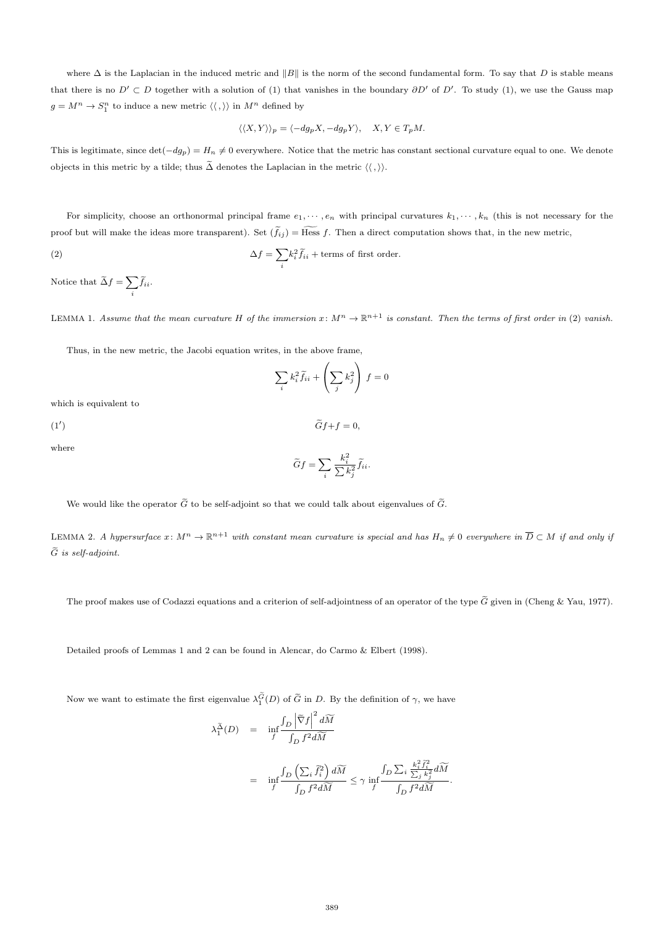where  $\Delta$  is the Laplacian in the induced metric and  $||B||$  is the norm of the second fundamental form. To say that D is stable means that there is no  $D' \subset D$  together with a solution of (1) that vanishes in the boundary  $\partial D'$  of  $D'$ . To study (1), we use the Gauss map  $g = M^n \to S_1^n$  to induce a new metric  $\langle \langle , \rangle \rangle$  in  $M^n$  defined by

$$
\langle \langle X, Y \rangle \rangle_p = \langle -dg_p X, -dg_p Y \rangle, \quad X, Y \in T_p M.
$$

This is legitimate, since  $\det(-dg_p) = H_n \neq 0$  everywhere. Notice that the metric has constant sectional curvature equal to one. We denote objects in this metric by a tilde; thus  $\tilde{\Delta}$  denotes the Laplacian in the metric  $\langle \langle , \rangle \rangle$ .

For simplicity, choose an orthonormal principal frame  $e_1, \dots, e_n$  with principal curvatures  $k_1, \dots, k_n$  (this is not necessary for the proof but will make the ideas more transparent). Set  $(\tilde{f}_{ij}) = \widetilde{Hess} f$ . Then a direct computation shows that, in the new metric,

(2) 
$$
\Delta f = \sum_{i} k_i^2 \widetilde{f}_{ii} + \text{terms of first order.}
$$

Notice that  $\widetilde{\Delta}f = \sum$  $\sum_i f_{ii}.$ 

LEMMA 1. Assume that the mean curvature H of the immersion  $x: M^n \to \mathbb{R}^{n+1}$  is constant. Then the terms of first order in (2) vanish.

Thus, in the new metric, the Jacobi equation writes, in the above frame,

$$
\sum_{i} k_i^2 \widetilde{f}_{ii} + \left(\sum_{j} k_j^2\right) f = 0
$$

which is equivalent to

 $(1')$ )  $Gf + f = 0$ ,

where

$$
\widetilde{G}f = \sum_{i} \frac{k_i^2}{\sum k_j^2} \widetilde{f}_{ii}.
$$

We would like the operator  $\tilde{G}$  to be self-adjoint so that we could talk about eigenvalues of  $\tilde{G}$ .

LEMMA 2. A hypersurface  $x: M^n \to \mathbb{R}^{n+1}$  with constant mean curvature is special and has  $H_n \neq 0$  everywhere in  $\overline{D} \subset M$  if and only if  $\tilde{G}$  is self-adjoint.

The proof makes use of Codazzi equations and a criterion of self-adjointness of an operator of the type  $\tilde{G}$  given in (Cheng & Yau, 1977).

Detailed proofs of Lemmas 1 and 2 can be found in Alencar, do Carmo & Elbert (1998).

Now we want to estimate the first eigenvalue  $\lambda_1^G(D)$  of  $\tilde{G}$  in D. By the definition of  $\gamma$ , we have

$$
\begin{array}{rcl} \lambda_1^{\widetilde{\Delta}}(D) & = & \displaystyle \inf_{f} \frac{\int_{D} \left| \widetilde{\nabla} f \right|^2 d\widetilde{M}}{\int_{D} f^2 d\widetilde{M}} \\ \\ & = & \displaystyle \inf_{f} \frac{\int_{D} \left( \sum_i \widetilde{f}_i^2 \right) d\widetilde{M}}{\int_{D} f^2 d\widetilde{M}} \leq \gamma \, \inf_{f} \frac{\int_{D} \sum_i \frac{k_i^2 \widetilde{f}_i^2}{\sum_j k_j^2} d\widetilde{M}}{\int_{D} f^2 d\widetilde{M}}. \end{array}
$$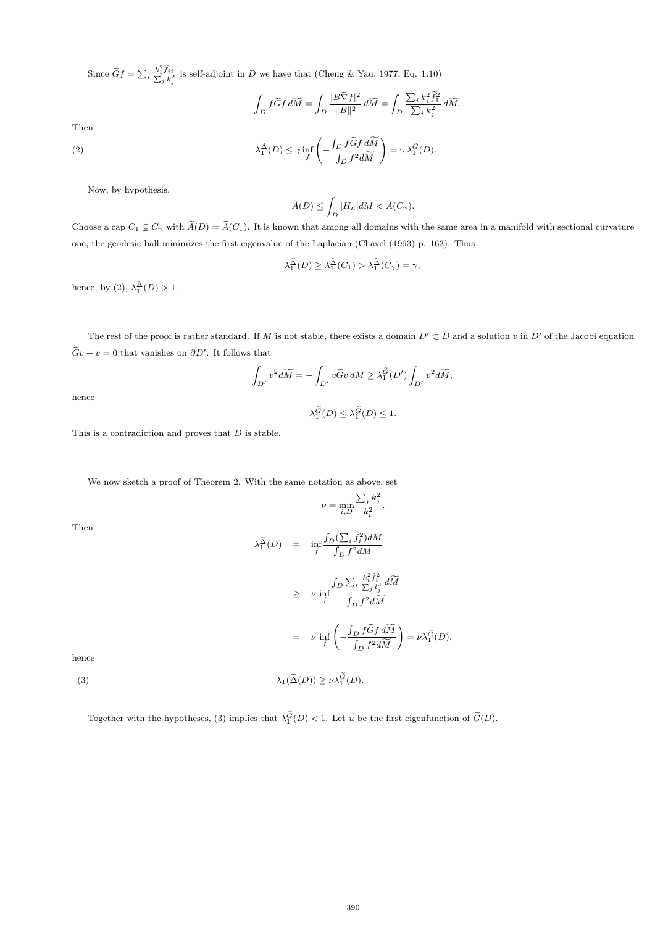Since  $\widetilde{G}f = \sum_i \frac{k_i^2 \widetilde{f}_{ii}}{\sum_j k_j^2}$  is self-adjoint in D we have that (Cheng & Yau, 1977, Eq. 1.10)

$$
-\int_D f\widetilde{G}f d\widetilde{M} = \int_D \frac{|B\widetilde{\nabla}f|^2}{\|B\|^2} d\widetilde{M} = \int_D \frac{\sum_i k_i^2 \widetilde{f}_1^2}{\sum_i k_j^2} d\widetilde{M}.
$$

Then

(2) 
$$
\lambda_1^{\tilde{\Delta}}(D) \leq \gamma \inf_{f} \left( -\frac{\int_D f \tilde{G} f d\widetilde{M}}{\int_D f^2 d\widetilde{M}} \right) = \gamma \lambda_1^{\tilde{G}}(D).
$$

Now, by hypothesis,

$$
\widetilde{A}(D) \le \int_D |H_n| dM < \widetilde{A}(C_\gamma).
$$

Choose a cap  $C_1 \nsubseteq C_\gamma$  with  $\widetilde{A}(D) = \widetilde{A}(C_1)$ . It is known that among all domains with the same area in a manifold with sectional curvature one, the geodesic ball minimizes the first eigenvalue of the Laplacian (Chavel (1993) p. 163). Thus

$$
\lambda_1^{\tilde{\Delta}}(D) \ge \lambda_1^{\tilde{\Delta}}(C_1) > \lambda_1^{\tilde{\Delta}}(C_{\gamma}) = \gamma,
$$

hence, by (2),  $\lambda_1^{\Delta}(D) > 1$ .

The rest of the proof is rather standard. If M is not stable, there exists a domain  $D' \subset D$  and a solution v in  $\overline{D'}$  of the Jacobi equation  $\tilde{G}v + v = 0$  that vanishes on  $\partial D'$ . It follows that

$$
\int_{D'} v^2 d\widetilde{M} = -\int_{D'} v \widetilde{G}v dM \geq \lambda_1^{\widetilde{G}}(D') \int_{D'} v^2 d\widetilde{M},
$$

hence

$$
\lambda_1^{\widetilde{G}}(D) \le \lambda_1^{\widetilde{G}}(D) \le 1.
$$

This is a contradiction and proves that  $D$  is stable.

We now sketch a proof of Theorem 2. With the same notation as above, set

$$
\nu = \min_{i,D} \frac{\sum_j k_j^2}{k_i^2}
$$

.

 $\int_D f^2 dM$ 

Then

$$
\lambda_1^{\widetilde{\Delta}}(D) = \inf_{f} \frac{\int_D (\sum_i \widetilde{f}_i^2) dM}{\int_D f^2 dM}
$$
\n
$$
\geq \nu \inf_{f} \frac{\int_D \sum_i \frac{k_i^2 \widetilde{f}_i^2}{\sum_j l_j^2} dM}{\int_D f^2 dM}
$$
\n
$$
= \nu \inf_{f} \left( -\frac{\int_D f \widetilde{G} f dM}{\int_D f^2 dM} \right) = \nu \lambda_1^{\widetilde{G}}(D),
$$

hence

(3)  $\lambda_1(\widetilde{\Delta}(D)) \ge \nu \lambda_1^G(D).$ 

Together with the hypotheses, (3) implies that  $\lambda_1^G(D) < 1$ . Let u be the first eigenfunction of  $\tilde{G}(D)$ .

 $=$   $\nu$  inf